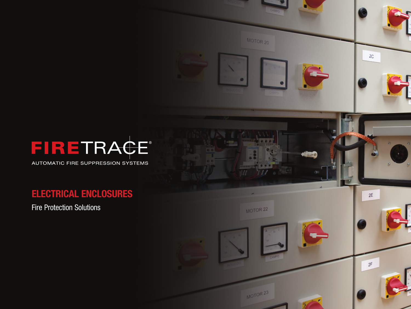

AUTOMATIC FIRE SUPPRESSION SYSTEMS

# **ELECTRICAL ENCLOSURES**

Fire Protection Solutions

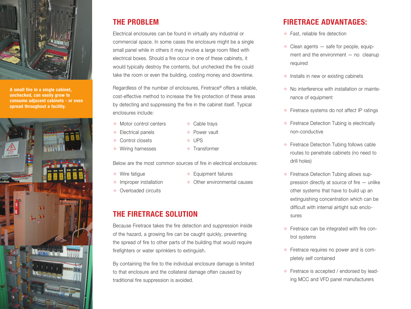

**A small fire in a single cabinet, unchecked, can easily grow to consume adjacent cabinets - or even spread throughout a facility.**



## **THE PROBLEM**

Electrical enclosures can be found in virtually any industrial or commercial space. In some cases the enclosure might be a single small panel while in others it may involve a large room filled with electrical boxes. Should a fire occur in one of these cabinets, it would typically destroy the contents, but unchecked the fire could take the room or even the building, costing money and downtime.

Regardless of the number of enclosures, Firetrace® offers a reliable, cost-effective method to increase the fire protection of these areas by detecting and suppressing the fire in the cabinet itself. Typical enclosures include:

- $\triangle$  Motor control centers
- $\triangleleft$  Cable travs
- Power vault
- **← Control closets**
- Wiring harnesses

 $\triangleq$  Electrical panels

- $\div$  UPS
- $\triangleq$  Transformer

Below are the most common sources of fire in electrical enclosures:

 $\div$  Wire fatigue

- $\triangleq$  Equipment failures
- Other environmental causes
- $\triangleq$  Improper installation **Coverloaded circuits**
- **THE FIRETRACE SOLUTION**

Because Firetrace takes the fire detection and suppression inside of the hazard, a growing fire can be caught quickly, preventing the spread of fire to other parts of the building that would require firefighters or water sprinklers to extinguish.

By containing the fire to the individual enclosure damage is limited to that enclosure and the collateral damage often caused by traditional fire suppression is avoided.

# **FIRETRACE ADVANTAGES:**

- $\triangleq$  Fast, reliable fire detection
- $\triangleq$  Clean agents  $-$  safe for people, equipment and the environment — no cleanup required
- $\triangleq$  Installs in new or existing cabinets
- $\triangleq$  No interference with installation or maintenance of equipment
- $\triangleq$  Firetrace systems do not affect IP ratings
- $\div$  Firetrace Detection Tubing is electrically non-conductive
- $\triangleq$  Firetrace Detection Tubing follows cable routes to penetrate cabinets (no need to drill holes)
- $\triangleq$  Firetrace Detection Tubing allows suppression directly at source of fire — unlike other systems that have to build up an extinguishing concentration which can be difficult with internal airtight sub enclosures
- $\triangleq$  Firetrace can be integrated with fire control systems
- $\div$  Firetrace requires no power and is completely self contained
- $\div$  Firetrace is accepted / endorsed by leading MCC and VFD panel manufacturers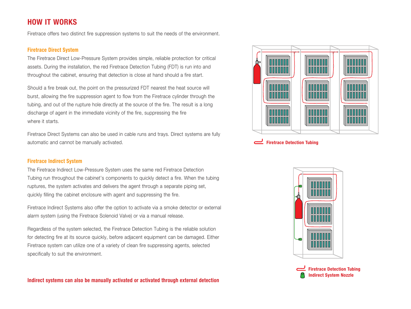### **HOW IT WORKS**

Firetrace offers two distinct fire suppression systems to suit the needs of the environment.

#### **Firetrace Direct System**

The Firetrace Direct Low-Pressure System provides simple, reliable protection for critical assets. During the installation, the red Firetrace Detection Tubing (FDT) is run into and throughout the cabinet, ensuring that detection is close at hand should a fire start.

Should a fire break out, the point on the pressurized FDT nearest the heat source will burst, allowing the fire suppression agent to flow from the Firetrace cylinder through the tubing, and out of the rupture hole directly at the source of the fire. The result is a long discharge of agent in the immediate vicinity of the fire, suppressing the fire where it starts.

Firetrace Direct Systems can also be used in cable runs and trays. Direct systems are fully automatic and cannot be manually activated.

#### **Firetrace Indirect System**

The Firetrace Indirect Low-Pressure System uses the same red Firetrace Detection Tubing run throughout the cabinet's components to quickly detect a fire. When the tubing ruptures, the system activates and delivers the agent through a separate piping set, quickly filling the cabinet enclosure with agent and suppressing the fire.

Firetrace Indirect Systems also offer the option to activate via a smoke detector or external alarm system (using the Firetrace Solenoid Valve) or via a manual release.

Regardless of the system selected, the Firetrace Detection Tubing is the reliable solution for detecting fire at its source quickly, before adjacent equipment can be damaged. Either Firetrace system can utilize one of a variety of clean fire suppressing agents, selected specifically to suit the environment.





**Firetrace Detection Tubing**



**Firetrace Detection Tubing Indirect System Nozzle**